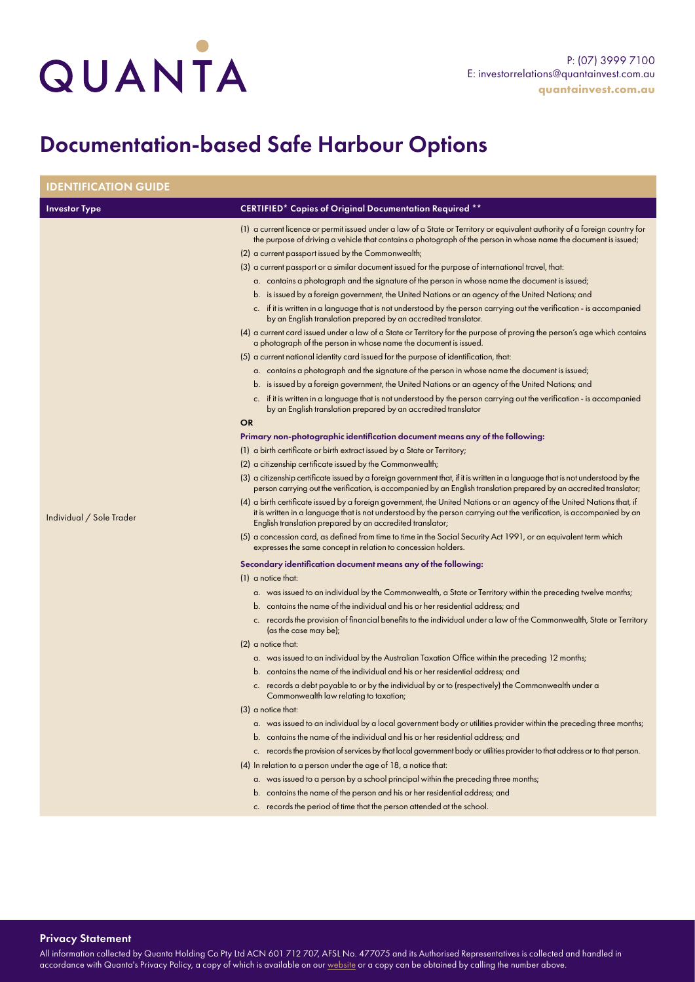## QUANTA

## Documentation-based Safe Harbour Options

| <b>IDENTIFICATION GUIDE</b> |                                                                                                                                                                                                                                                                                                                                                                                                                                                                                                                                                                                                                                                                                                                                                                                                                                                                                                                                                                                                                                                                                                                                                                                                                                                                                                                                                                                                                                                                                                                                                                                                                                                                                                                                                                                                                                                                                                                                                                                                                                                                                                                                                                                                                                                                                                                                                                                                                                                                                                                                                                                                                                                                                                                                                                                                                                                                                                                                                                                                                                                                                                                                                                                                                                                                                                                                                                                                                                                                                                                                                      |
|-----------------------------|------------------------------------------------------------------------------------------------------------------------------------------------------------------------------------------------------------------------------------------------------------------------------------------------------------------------------------------------------------------------------------------------------------------------------------------------------------------------------------------------------------------------------------------------------------------------------------------------------------------------------------------------------------------------------------------------------------------------------------------------------------------------------------------------------------------------------------------------------------------------------------------------------------------------------------------------------------------------------------------------------------------------------------------------------------------------------------------------------------------------------------------------------------------------------------------------------------------------------------------------------------------------------------------------------------------------------------------------------------------------------------------------------------------------------------------------------------------------------------------------------------------------------------------------------------------------------------------------------------------------------------------------------------------------------------------------------------------------------------------------------------------------------------------------------------------------------------------------------------------------------------------------------------------------------------------------------------------------------------------------------------------------------------------------------------------------------------------------------------------------------------------------------------------------------------------------------------------------------------------------------------------------------------------------------------------------------------------------------------------------------------------------------------------------------------------------------------------------------------------------------------------------------------------------------------------------------------------------------------------------------------------------------------------------------------------------------------------------------------------------------------------------------------------------------------------------------------------------------------------------------------------------------------------------------------------------------------------------------------------------------------------------------------------------------------------------------------------------------------------------------------------------------------------------------------------------------------------------------------------------------------------------------------------------------------------------------------------------------------------------------------------------------------------------------------------------------------------------------------------------------------------------------------------------------|
| <b>Investor Type</b>        | <b>CERTIFIED* Copies of Original Documentation Required **</b>                                                                                                                                                                                                                                                                                                                                                                                                                                                                                                                                                                                                                                                                                                                                                                                                                                                                                                                                                                                                                                                                                                                                                                                                                                                                                                                                                                                                                                                                                                                                                                                                                                                                                                                                                                                                                                                                                                                                                                                                                                                                                                                                                                                                                                                                                                                                                                                                                                                                                                                                                                                                                                                                                                                                                                                                                                                                                                                                                                                                                                                                                                                                                                                                                                                                                                                                                                                                                                                                                       |
| Individual / Sole Trader    | (1) a current licence or permit issued under a law of a State or Territory or equivalent authority of a foreign country for<br>the purpose of driving a vehicle that contains a photograph of the person in whose name the document is issued;<br>(2) a current passport issued by the Commonwealth;<br>(3) a current passport or a similar document issued for the purpose of international travel, that:<br>a. contains a photograph and the signature of the person in whose name the document is issued;<br>b. is issued by a foreign government, the United Nations or an agency of the United Nations; and<br>c. if it is written in a language that is not understood by the person carrying out the verification - is accompanied<br>by an English translation prepared by an accredited translator.<br>(4) a current card issued under a law of a State or Territory for the purpose of proving the person's age which contains<br>a photograph of the person in whose name the document is issued.<br>(5) a current national identity card issued for the purpose of identification, that:<br>a. contains a photograph and the signature of the person in whose name the document is issued;<br>b. is issued by a foreign government, the United Nations or an agency of the United Nations; and<br>c. if it is written in a language that is not understood by the person carrying out the verification - is accompanied<br>by an English translation prepared by an accredited translator<br><b>OR</b><br>Primary non-photographic identification document means any of the following:<br>(1) a birth certificate or birth extract issued by a State or Territory;<br>(2) a citizenship certificate issued by the Commonwealth;<br>(3) a citizenship certificate issued by a foreign government that, if it is written in a language that is not understood by the<br>person carrying out the verification, is accompanied by an English translation prepared by an accredited translator;<br>(4) a birth certificate issued by a foreign government, the United Nations or an agency of the United Nations that, if<br>it is written in a language that is not understood by the person carrying out the verification, is accompanied by an<br>English translation prepared by an accredited translator;<br>(5) a concession card, as defined from time to time in the Social Security Act 1991, or an equivalent term which<br>expresses the same concept in relation to concession holders.<br>Secondary identification document means any of the following:<br>$(1)$ a notice that:<br>a. was issued to an individual by the Commonwealth, a State or Territory within the preceding twelve months;<br>b. contains the name of the individual and his or her residential address; and<br>c. records the provision of financial benefits to the individual under a law of the Commonwealth, State or Territory<br>(as the case may be);<br>$(2)$ a notice that:<br>a. was issued to an individual by the Australian Taxation Office within the preceding 12 months;<br>b. contains the name of the individual and his or her residential address; and<br>c. records a debt payable to or by the individual by or to (respectively) the Commonwealth under a<br>Commonwealth law relating to taxation;<br>$(3)$ a notice that:<br>a. was issued to an individual by a local government body or utilities provider within the preceding three months;<br>b. contains the name of the individual and his or her residential address; and |
|                             | c. records the provision of services by that local government body or utilities provider to that address or to that person.                                                                                                                                                                                                                                                                                                                                                                                                                                                                                                                                                                                                                                                                                                                                                                                                                                                                                                                                                                                                                                                                                                                                                                                                                                                                                                                                                                                                                                                                                                                                                                                                                                                                                                                                                                                                                                                                                                                                                                                                                                                                                                                                                                                                                                                                                                                                                                                                                                                                                                                                                                                                                                                                                                                                                                                                                                                                                                                                                                                                                                                                                                                                                                                                                                                                                                                                                                                                                          |
|                             |                                                                                                                                                                                                                                                                                                                                                                                                                                                                                                                                                                                                                                                                                                                                                                                                                                                                                                                                                                                                                                                                                                                                                                                                                                                                                                                                                                                                                                                                                                                                                                                                                                                                                                                                                                                                                                                                                                                                                                                                                                                                                                                                                                                                                                                                                                                                                                                                                                                                                                                                                                                                                                                                                                                                                                                                                                                                                                                                                                                                                                                                                                                                                                                                                                                                                                                                                                                                                                                                                                                                                      |
|                             |                                                                                                                                                                                                                                                                                                                                                                                                                                                                                                                                                                                                                                                                                                                                                                                                                                                                                                                                                                                                                                                                                                                                                                                                                                                                                                                                                                                                                                                                                                                                                                                                                                                                                                                                                                                                                                                                                                                                                                                                                                                                                                                                                                                                                                                                                                                                                                                                                                                                                                                                                                                                                                                                                                                                                                                                                                                                                                                                                                                                                                                                                                                                                                                                                                                                                                                                                                                                                                                                                                                                                      |
|                             | (4) In relation to a person under the age of 18, a notice that:                                                                                                                                                                                                                                                                                                                                                                                                                                                                                                                                                                                                                                                                                                                                                                                                                                                                                                                                                                                                                                                                                                                                                                                                                                                                                                                                                                                                                                                                                                                                                                                                                                                                                                                                                                                                                                                                                                                                                                                                                                                                                                                                                                                                                                                                                                                                                                                                                                                                                                                                                                                                                                                                                                                                                                                                                                                                                                                                                                                                                                                                                                                                                                                                                                                                                                                                                                                                                                                                                      |
|                             |                                                                                                                                                                                                                                                                                                                                                                                                                                                                                                                                                                                                                                                                                                                                                                                                                                                                                                                                                                                                                                                                                                                                                                                                                                                                                                                                                                                                                                                                                                                                                                                                                                                                                                                                                                                                                                                                                                                                                                                                                                                                                                                                                                                                                                                                                                                                                                                                                                                                                                                                                                                                                                                                                                                                                                                                                                                                                                                                                                                                                                                                                                                                                                                                                                                                                                                                                                                                                                                                                                                                                      |
|                             | a. was issued to a person by a school principal within the preceding three months;                                                                                                                                                                                                                                                                                                                                                                                                                                                                                                                                                                                                                                                                                                                                                                                                                                                                                                                                                                                                                                                                                                                                                                                                                                                                                                                                                                                                                                                                                                                                                                                                                                                                                                                                                                                                                                                                                                                                                                                                                                                                                                                                                                                                                                                                                                                                                                                                                                                                                                                                                                                                                                                                                                                                                                                                                                                                                                                                                                                                                                                                                                                                                                                                                                                                                                                                                                                                                                                                   |
|                             | b. contains the name of the person and his or her residential address; and                                                                                                                                                                                                                                                                                                                                                                                                                                                                                                                                                                                                                                                                                                                                                                                                                                                                                                                                                                                                                                                                                                                                                                                                                                                                                                                                                                                                                                                                                                                                                                                                                                                                                                                                                                                                                                                                                                                                                                                                                                                                                                                                                                                                                                                                                                                                                                                                                                                                                                                                                                                                                                                                                                                                                                                                                                                                                                                                                                                                                                                                                                                                                                                                                                                                                                                                                                                                                                                                           |
|                             | c. records the period of time that the person attended at the school.                                                                                                                                                                                                                                                                                                                                                                                                                                                                                                                                                                                                                                                                                                                                                                                                                                                                                                                                                                                                                                                                                                                                                                                                                                                                                                                                                                                                                                                                                                                                                                                                                                                                                                                                                                                                                                                                                                                                                                                                                                                                                                                                                                                                                                                                                                                                                                                                                                                                                                                                                                                                                                                                                                                                                                                                                                                                                                                                                                                                                                                                                                                                                                                                                                                                                                                                                                                                                                                                                |
|                             |                                                                                                                                                                                                                                                                                                                                                                                                                                                                                                                                                                                                                                                                                                                                                                                                                                                                                                                                                                                                                                                                                                                                                                                                                                                                                                                                                                                                                                                                                                                                                                                                                                                                                                                                                                                                                                                                                                                                                                                                                                                                                                                                                                                                                                                                                                                                                                                                                                                                                                                                                                                                                                                                                                                                                                                                                                                                                                                                                                                                                                                                                                                                                                                                                                                                                                                                                                                                                                                                                                                                                      |

Privacy Statement

All information collected by Quanta Holding Co Pty Ltd ACN 601 712 707, AFSL No. 477075 and its Authorised Representatives is collected and handled in accordance with Quanta's Privacy Policy, a copy of which is available on our [website](http://www.quantainvest.com.au) or a copy can be obtained by calling the number above.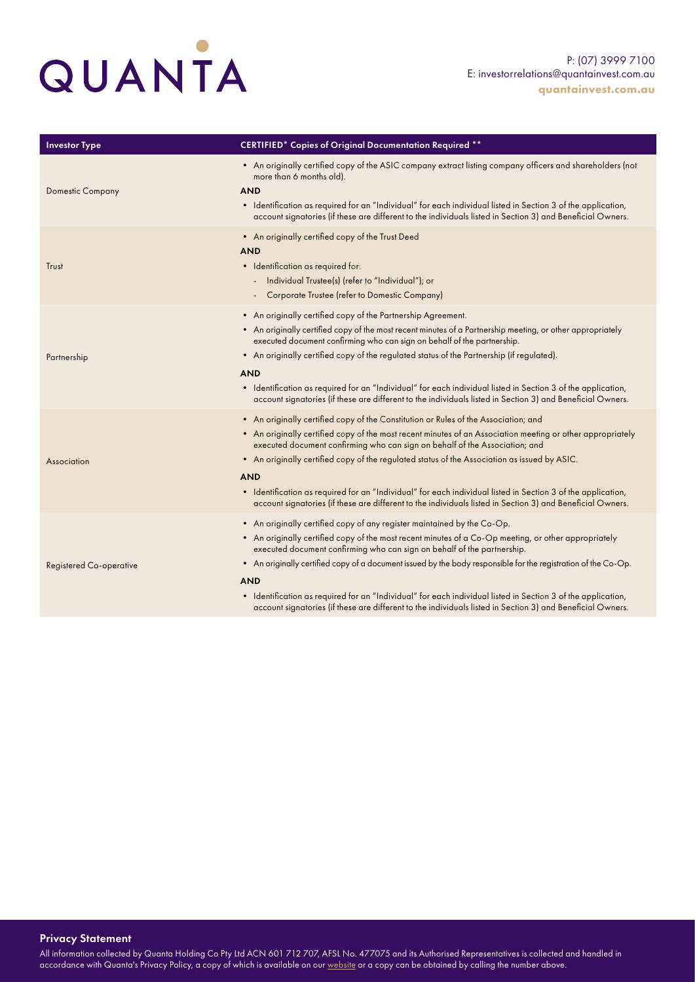

| <b>Investor Type</b>           | <b>CERTIFIED* Copies of Original Documentation Required **</b>                                                                                                                                                                                                                                                                                                                                                                                                                                                                                                                                                               |
|--------------------------------|------------------------------------------------------------------------------------------------------------------------------------------------------------------------------------------------------------------------------------------------------------------------------------------------------------------------------------------------------------------------------------------------------------------------------------------------------------------------------------------------------------------------------------------------------------------------------------------------------------------------------|
| <b>Domestic Company</b>        | • An originally certified copy of the ASIC company extract listing company officers and shareholders (not<br>more than 6 months old).<br><b>AND</b><br>• Identification as required for an "Individual" for each individual listed in Section 3 of the application,<br>account signatories (if these are different to the individuals listed in Section 3) and Beneficial Owners.                                                                                                                                                                                                                                            |
| Trust                          | • An originally certified copy of the Trust Deed<br><b>AND</b><br>• Identification as required for:<br>Individual Trustee(s) (refer to "Individual"); or<br>$\overline{\phantom{0}}$<br>Corporate Trustee (refer to Domestic Company)                                                                                                                                                                                                                                                                                                                                                                                        |
| Partnership                    | • An originally certified copy of the Partnership Agreement.<br>• An originally certified copy of the most recent minutes of a Partnership meeting, or other appropriately<br>executed document confirming who can sign on behalf of the partnership.<br>• An originally certified copy of the regulated status of the Partnership (if regulated).<br><b>AND</b><br>• Identification as required for an "Individual" for each individual listed in Section 3 of the application,<br>account signatories (if these are different to the individuals listed in Section 3) and Beneficial Owners.                               |
| Association                    | • An originally certified copy of the Constitution or Rules of the Association; and<br>• An originally certified copy of the most recent minutes of an Association meeting or other appropriately<br>executed document confirming who can sign on behalf of the Association; and<br>• An originally certified copy of the regulated status of the Association as issued by ASIC.<br><b>AND</b><br>• Identification as required for an "Individual" for each individual listed in Section 3 of the application,<br>account signatories (if these are different to the individuals listed in Section 3) and Beneficial Owners. |
| <b>Registered Co-operative</b> | • An originally certified copy of any register maintained by the Co-Op.<br>• An originally certified copy of the most recent minutes of a Co-Op meeting, or other appropriately<br>executed document confirming who can sign on behalf of the partnership.<br>• An originally certified copy of a document issued by the body responsible for the registration of the Co-Op.<br><b>AND</b><br>• Identification as required for an "Individual" for each individual listed in Section 3 of the application,<br>account signatories (if these are different to the individuals listed in Section 3) and Beneficial Owners.     |

## Privacy Statement

All information collected by Quanta Holding Co Pty Ltd ACN 601 712 707, AFSL No. 477075 and its Authorised Representatives is collected and handled in accordance with Quanta's Privacy Policy, a copy of which is available on our <u>website</u> or a copy can be obtained by calling the number above.